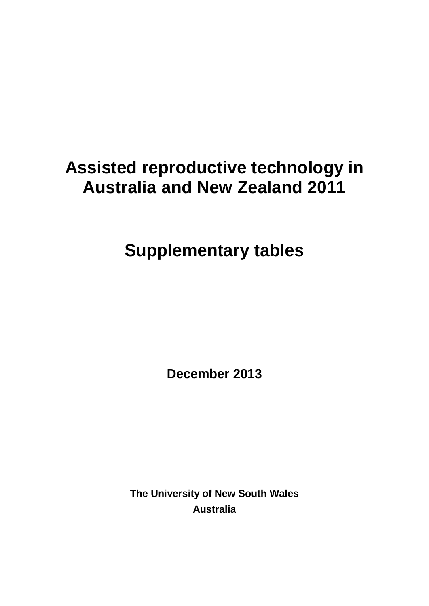# **Assisted reproductive technology in Australia and New Zealand 2011**

**Supplementary tables**

**December 2013**

**The University of New South Wales Australia**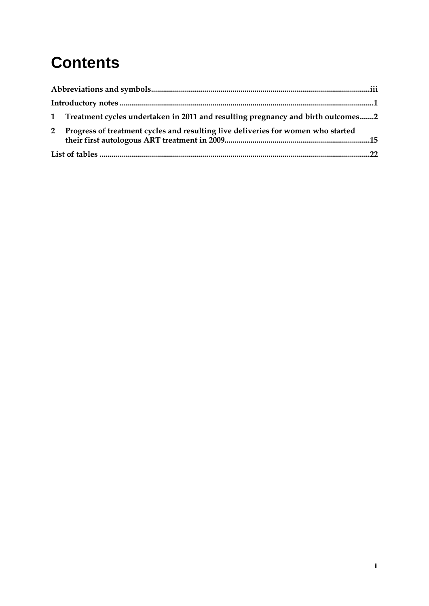# **Contents**

|             | 1 Treatment cycles undertaken in 2011 and resulting pregnancy and birth outcomes2 |  |
|-------------|-----------------------------------------------------------------------------------|--|
| $2^{\circ}$ | Progress of treatment cycles and resulting live deliveries for women who started  |  |
|             |                                                                                   |  |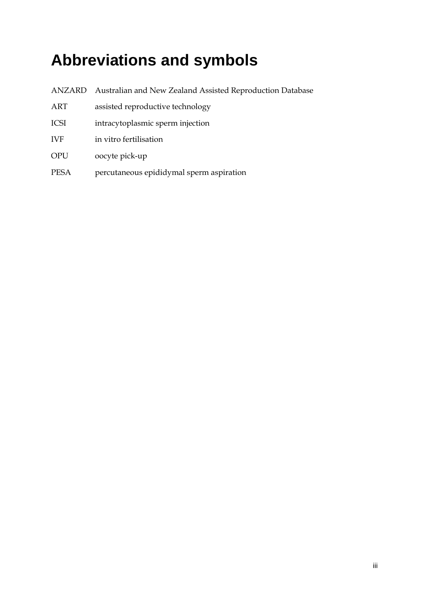# <span id="page-2-0"></span>**Abbreviations and symbols**

- ANZARD Australian and New Zealand Assisted Reproduction Database
- ART assisted reproductive technology
- ICSI intracytoplasmic sperm injection
- IVF in vitro fertilisation
- OPU oocyte pick-up
- PESA percutaneous epididymal sperm aspiration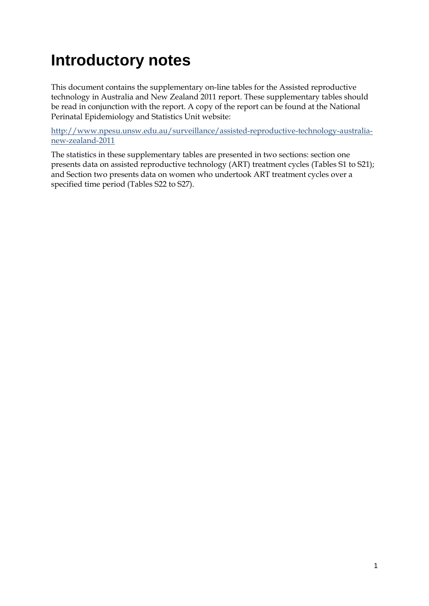## <span id="page-3-0"></span>**Introductory notes**

This document contains the supplementary on-line tables for the Assisted reproductive technology in Australia and New Zealand 2011 report. These supplementary tables should be read in conjunction with the report. A copy of the report can be found at the National Perinatal Epidemiology and Statistics Unit website:

[http://www.npesu.unsw.edu.au/surveillance/assisted-reproductive-technology-australia](http://www.npesu.unsw.edu.au/surveillance/assisted-reproductive-technology-australia-new-zealand-2011)[new-zealand-2011](http://www.npesu.unsw.edu.au/surveillance/assisted-reproductive-technology-australia-new-zealand-2011)

The statistics in these supplementary tables are presented in two sections: section one presents data on assisted reproductive technology (ART) treatment cycles (Tables S1 to S21); and Section two presents data on women who undertook ART treatment cycles over a specified time period (Tables S22 to S27).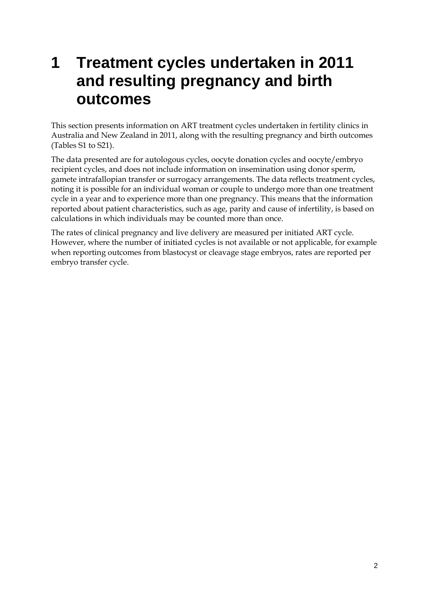## <span id="page-4-0"></span>**1 Treatment cycles undertaken in 2011 and resulting pregnancy and birth outcomes**

This section presents information on ART treatment cycles undertaken in fertility clinics in Australia and New Zealand in 2011, along with the resulting pregnancy and birth outcomes (Tables S1 to S21).

The data presented are for autologous cycles, oocyte donation cycles and oocyte/embryo recipient cycles, and does not include information on insemination using donor sperm, gamete intrafallopian transfer or surrogacy arrangements. The data reflects treatment cycles, noting it is possible for an individual woman or couple to undergo more than one treatment cycle in a year and to experience more than one pregnancy. This means that the information reported about patient characteristics, such as age, parity and cause of infertility, is based on calculations in which individuals may be counted more than once.

The rates of clinical pregnancy and live delivery are measured per initiated ART cycle. However, where the number of initiated cycles is not available or not applicable, for example when reporting outcomes from blastocyst or cleavage stage embryos, rates are reported per embryo transfer cycle.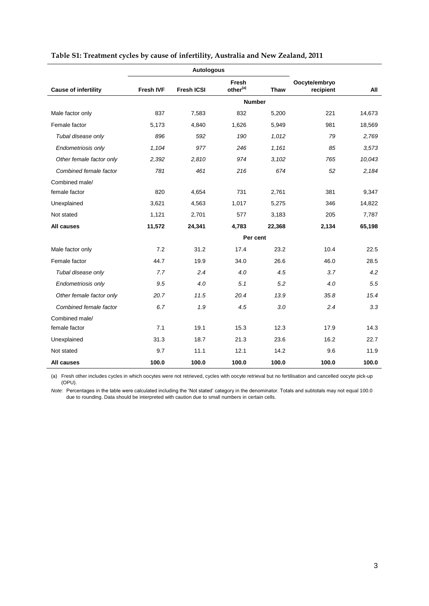|                             |                  | <b>Autologous</b> |                               |             |                            |        |
|-----------------------------|------------------|-------------------|-------------------------------|-------------|----------------------------|--------|
| <b>Cause of infertility</b> | <b>Fresh IVF</b> | <b>Fresh ICSI</b> | Fresh<br>other <sup>(a)</sup> | <b>Thaw</b> | Oocyte/embryo<br>recipient | All    |
|                             |                  |                   | <b>Number</b>                 |             |                            |        |
| Male factor only            | 837              | 7,583             | 832                           | 5,200       | 221                        | 14,673 |
| Female factor               | 5,173            | 4,840             | 1,626                         | 5,949       | 981                        | 18,569 |
| Tubal disease only          | 896              | 592               | 190                           | 1,012       | 79                         | 2,769  |
| Endometriosis only          | 1,104            | 977               | 246                           | 1.161       | 85                         | 3,573  |
| Other female factor only    | 2,392            | 2,810             | 974                           | 3,102       | 765                        | 10,043 |
| Combined female factor      | 781              | 461               | 216                           | 674         | 52                         | 2.184  |
| Combined male/              |                  |                   |                               |             |                            |        |
| female factor               | 820              | 4,654             | 731                           | 2,761       | 381                        | 9,347  |
| Unexplained                 | 3,621            | 4,563             | 1,017                         | 5,275       | 346                        | 14,822 |
| Not stated                  | 1,121            | 2,701             | 577                           | 3,183       | 205                        | 7,787  |
| All causes                  | 11,572           | 24,341            | 4,783                         | 22,368      | 2,134                      | 65,198 |
|                             |                  |                   | Per cent                      |             |                            |        |
| Male factor only            | 7.2              | 31.2              | 17.4                          | 23.2        | 10.4                       | 22.5   |
| Female factor               | 44.7             | 19.9              | 34.0                          | 26.6        | 46.0                       | 28.5   |
| Tubal disease only          | 7.7              | 2.4               | 4.0                           | 4.5         | 3.7                        | 4.2    |
| Endometriosis only          | 9.5              | 4.0               | 5.1                           | 5.2         | 4.0                        | 5.5    |
| Other female factor only    | 20.7             | 11.5              | 20.4                          | 13.9        | 35.8                       | 15.4   |
| Combined female factor      | 6.7              | 1.9               | 4.5                           | 3.0         | 2.4                        | 3.3    |
| Combined male/              |                  |                   |                               |             |                            |        |
| female factor               | 7.1              | 19.1              | 15.3                          | 12.3        | 17.9                       | 14.3   |
| Unexplained                 | 31.3             | 18.7              | 21.3                          | 23.6        | 16.2                       | 22.7   |
| Not stated                  | 9.7              | 11.1              | 12.1                          | 14.2        | 9.6                        | 11.9   |
| All causes                  | 100.0            | 100.0             | 100.0                         | 100.0       | 100.0                      | 100.0  |

### <span id="page-5-0"></span>**Table S1: Treatment cycles by cause of infertility, Australia and New Zealand, 2011**

(a) Fresh other includes cycles in which oocytes were not retrieved, cycles with oocyte retrieval but no fertilisation and cancelled oocyte pick-up (OPU).

*Note*: Percentages in the table were calculated including the 'Not stated' category in the denominator. Totals and subtotals may not equal 100.0 due to rounding. Data should be interpreted with caution due to small numbers in certain cells.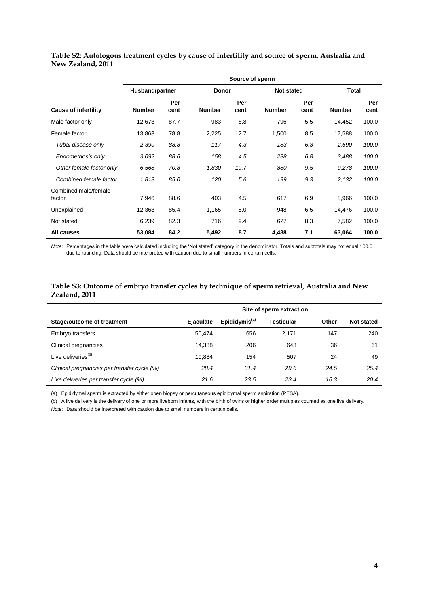|                                | Source of sperm |             |               |              |               |                   |               |              |  |
|--------------------------------|-----------------|-------------|---------------|--------------|---------------|-------------------|---------------|--------------|--|
|                                | Husband/partner |             |               | <b>Donor</b> |               | <b>Not stated</b> |               | <b>Total</b> |  |
| <b>Cause of infertility</b>    | <b>Number</b>   | Per<br>cent | <b>Number</b> | Per<br>cent  | <b>Number</b> | Per<br>cent       | <b>Number</b> | Per<br>cent  |  |
| Male factor only               | 12,673          | 87.7        | 983           | 6.8          | 796           | 5.5               | 14,452        | 100.0        |  |
| Female factor                  | 13,863          | 78.8        | 2,225         | 12.7         | 1,500         | 8.5               | 17,588        | 100.0        |  |
| Tubal disease only             | 2,390           | 88.8        | 117           | 4.3          | 183           | 6.8               | 2,690         | 100.0        |  |
| Endometriosis only             | 3.092           | 88.6        | 158           | 4.5          | 238           | 6.8               | 3,488         | 100.0        |  |
| Other female factor only       | 6,568           | 70.8        | 1,830         | 19.7         | 880           | 9.5               | 9,278         | 100.0        |  |
| Combined female factor         | 1,813           | 85.0        | 120           | 5.6          | 199           | 9.3               | 2,132         | 100.0        |  |
| Combined male/female<br>factor | 7,946           | 88.6        | 403           | 4.5          | 617           | 6.9               | 8,966         | 100.0        |  |
| Unexplained                    | 12,363          | 85.4        | 1,165         | 8.0          | 948           | 6.5               | 14,476        | 100.0        |  |
| Not stated                     | 6,239           | 82.3        | 716           | 9.4          | 627           | 8.3               | 7,582         | 100.0        |  |
| All causes                     | 53,084          | 84.2        | 5,492         | 8.7          | 4,488         | 7.1               | 63,064        | 100.0        |  |

#### <span id="page-6-0"></span>**Table S2: Autologous treatment cycles by cause of infertility and source of sperm, Australia and New Zealand, 2011**

*Note*: Percentages in the table were calculated including the 'Not stated' category in the denominator. Totals and subtotals may not equal 100.0 due to rounding. Data should be interpreted with caution due to small numbers in certain cells.

#### <span id="page-6-1"></span>**Table S3: Outcome of embryo transfer cycles by technique of sperm retrieval, Australia and New Zealand, 2011**

|                                             | Site of sperm extraction |                           |            |       |                   |  |  |  |
|---------------------------------------------|--------------------------|---------------------------|------------|-------|-------------------|--|--|--|
| Stage/outcome of treatment                  | <b>Ejaculate</b>         | Epididymis <sup>(a)</sup> | Testicular | Other | <b>Not stated</b> |  |  |  |
| Embryo transfers                            | 50.474                   | 656                       | 2.171      | 147   | 240               |  |  |  |
| Clinical pregnancies                        | 14.338                   | 206                       | 643        | 36    | 61                |  |  |  |
| Live deliveries <sup>(b)</sup>              | 10.884                   | 154                       | 507        | 24    | 49                |  |  |  |
| Clinical pregnancies per transfer cycle (%) | 28.4                     | 31.4                      | 29.6       | 24.5  | 25.4              |  |  |  |
| Live deliveries per transfer cycle (%)      | 21.6                     | 23.5                      | 23.4       | 16.3  | 20.4              |  |  |  |

(a) Epididymal sperm is extracted by either open biopsy or percutaneous epididymal sperm aspiration (PESA).

(b) A live delivery is the delivery of one or more liveborn infants, with the birth of twins or higher order multiples counted as one live delivery.

*Note*: Data should be interpreted with caution due to small numbers in certain cells.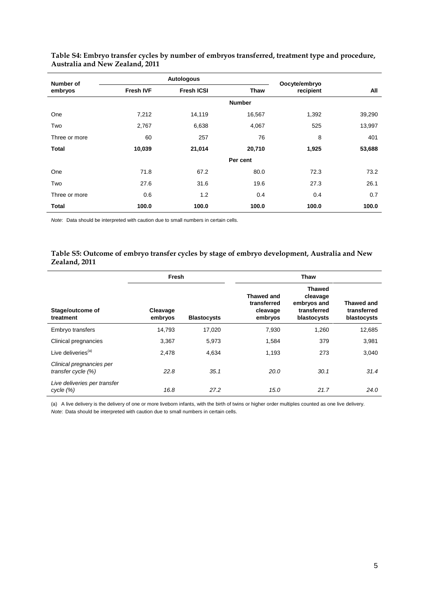| Number of     |                  | <b>Autologous</b> |               | Oocyte/embryo |        |  |
|---------------|------------------|-------------------|---------------|---------------|--------|--|
| embryos       | <b>Fresh IVF</b> | <b>Fresh ICSI</b> | <b>Thaw</b>   | recipient     | All    |  |
|               |                  |                   | <b>Number</b> |               |        |  |
| One           | 7,212            | 14,119            | 16,567        | 1,392         | 39,290 |  |
| Two           | 2,767            | 6,638             | 4,067         | 525           | 13,997 |  |
| Three or more | 60               | 257               | 76            | 8             | 401    |  |
| <b>Total</b>  | 10,039           | 21,014            | 20,710        | 1,925         | 53,688 |  |
|               |                  |                   | Per cent      |               |        |  |
| One           | 71.8             | 67.2              | 80.0          | 72.3          | 73.2   |  |
| Two           | 27.6             | 31.6              | 19.6          | 27.3          | 26.1   |  |
| Three or more | 0.6              | 1.2               | 0.4           | 0.4           | 0.7    |  |
| <b>Total</b>  | 100.0            | 100.0             | 100.0         | 100.0         | 100.0  |  |

<span id="page-7-0"></span>**Table S4: Embryo transfer cycles by number of embryos transferred, treatment type and procedure, Australia and New Zealand, 2011**

*Note*: Data should be interpreted with caution due to small numbers in certain cells.

#### <span id="page-7-1"></span>**Table S5: Outcome of embryo transfer cycles by stage of embryo development, Australia and New Zealand, 2011**

|                                                | Fresh               |                    | <b>Thaw</b>                                      |                                                                        |                                          |  |
|------------------------------------------------|---------------------|--------------------|--------------------------------------------------|------------------------------------------------------------------------|------------------------------------------|--|
| Stage/outcome of<br>treatment                  | Cleavage<br>embryos | <b>Blastocysts</b> | Thawed and<br>transferred<br>cleavage<br>embryos | <b>Thawed</b><br>cleavage<br>embryos and<br>transferred<br>blastocysts | Thawed and<br>transferred<br>blastocysts |  |
| Embryo transfers                               | 14,793              | 17,020             | 7,930                                            | 1,260                                                                  | 12,685                                   |  |
| Clinical pregnancies                           | 3,367               | 5,973              | 1,584                                            | 379                                                                    | 3,981                                    |  |
| Live deliveries <sup>(a)</sup>                 | 2,478               | 4,634              | 1,193                                            | 273                                                                    | 3,040                                    |  |
| Clinical pregnancies per<br>transfer cycle (%) | 22.8                | 35.1               | 20.0                                             | 30.1                                                                   | 31.4                                     |  |
| Live deliveries per transfer<br>cycle (%)      | 16.8                | 27.2               | 15.0                                             | 21.7                                                                   | 24.0                                     |  |

(a) A live delivery is the delivery of one or more liveborn infants, with the birth of twins or higher order multiples counted as one live delivery. *Note*: Data should be interpreted with caution due to small numbers in certain cells.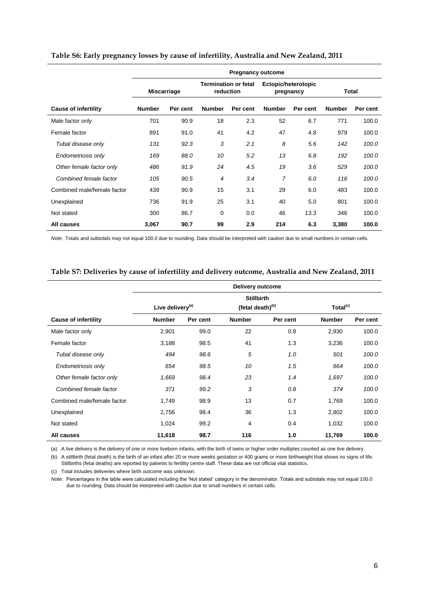|                             | <b>Pregnancy outcome</b> |          |                                          |          |                                  |          |               |          |  |  |
|-----------------------------|--------------------------|----------|------------------------------------------|----------|----------------------------------|----------|---------------|----------|--|--|
|                             | Miscarriage              |          | <b>Termination or fetal</b><br>reduction |          | Ectopic/heterotopic<br>pregnancy |          | Total         |          |  |  |
| <b>Cause of infertility</b> | <b>Number</b>            | Per cent | <b>Number</b>                            | Per cent | <b>Number</b>                    | Per cent | <b>Number</b> | Per cent |  |  |
| Male factor only            | 701                      | 90.9     | 18                                       | 2.3      | 52                               | 6.7      | 771           | 100.0    |  |  |
| Female factor               | 891                      | 91.0     | 41                                       | 4.2      | 47                               | 4.8      | 979           | 100.0    |  |  |
| Tubal disease only          | 131                      | 92.3     | 3                                        | 2.1      | 8                                | 5.6      | 142           | 100.0    |  |  |
| Endometriosis only          | 169                      | 88.0     | 10                                       | 5.2      | 13                               | 6.8      | 192           | 100.0    |  |  |
| Other female factor only    | 486                      | 91.9     | 24                                       | 4.5      | 19                               | 3.6      | 529           | 100.0    |  |  |
| Combined female factor      | 105                      | 90.5     | $\overline{4}$                           | 3.4      | 7                                | 6.0      | 116           | 100.0    |  |  |
| Combined male/female factor | 439                      | 90.9     | 15                                       | 3.1      | 29                               | 6.0      | 483           | 100.0    |  |  |
| Unexplained                 | 736                      | 91.9     | 25                                       | 3.1      | 40                               | 5.0      | 801           | 100.0    |  |  |
| Not stated                  | 300                      | 86.7     | 0                                        | 0.0      | 46                               | 13.3     | 346           | 100.0    |  |  |
| All causes                  | 3,067                    | 90.7     | 99                                       | 2.9      | 214                              | 6.3      | 3,380         | 100.0    |  |  |

#### <span id="page-8-0"></span>**Table S6: Early pregnancy losses by cause of infertility, Australia and New Zealand, 2011**

*Note*: Totals and subtotals may not equal 100.0 due to rounding. Data should be interpreted with caution due to small numbers in certain cells.

#### <span id="page-8-1"></span>**Table S7: Deliveries by cause of infertility and delivery outcome, Australia and New Zealand, 2011**

|                             | Delivery outcome             |          |                              |          |                      |          |  |  |  |  |  |
|-----------------------------|------------------------------|----------|------------------------------|----------|----------------------|----------|--|--|--|--|--|
|                             |                              |          | <b>Stillbirth</b>            |          |                      |          |  |  |  |  |  |
|                             | Live delivery <sup>(a)</sup> |          | (fetal death) <sup>(b)</sup> |          | Total <sup>(c)</sup> |          |  |  |  |  |  |
| <b>Cause of infertility</b> | <b>Number</b>                | Per cent | <b>Number</b>                | Per cent | <b>Number</b>        | Per cent |  |  |  |  |  |
| Male factor only            | 2,901                        | 99.0     | 22                           | 0.8      | 2,930                | 100.0    |  |  |  |  |  |
| Female factor               | 3,188                        | 98.5     | 41                           | 1.3      | 3,236                | 100.0    |  |  |  |  |  |
| Tubal disease only          | 494                          | 98.6     | 5                            | 1.0      | 501                  | 100.0    |  |  |  |  |  |
| Endometriosis only          | 654                          | 98.5     | 10                           | 1.5      | 664                  | 100.0    |  |  |  |  |  |
| Other female factor only    | 1,669                        | 98.4     | 23                           | 1.4      | 1,697                | 100.0    |  |  |  |  |  |
| Combined female factor      | 371                          | 99.2     | 3                            | 0.8      | 374                  | 100.0    |  |  |  |  |  |
| Combined male/female factor | 1,749                        | 98.9     | 13                           | 0.7      | 1,769                | 100.0    |  |  |  |  |  |
| Unexplained                 | 2,756                        | 98.4     | 36                           | 1.3      | 2,802                | 100.0    |  |  |  |  |  |
| Not stated                  | 1,024                        | 99.2     | 4                            | 0.4      | 1,032                | 100.0    |  |  |  |  |  |
| All causes                  | 11,618                       | 98.7     | 116                          | 1.0      | 11,769               | 100.0    |  |  |  |  |  |

(a) A live delivery is the delivery of one or more liveborn infants, with the birth of twins or higher order multiples counted as one live delivery.

(b) A stillbirth (fetal death) is the birth of an infant after 20 or more weeks gestation or 400 grams or more birthweight that shows no signs of life. Stillbirths (fetal deaths) are reported by patients to fertility centre staff. These data are not official vital statistics.

(c) Total includes deliveries where birth outcome was unknown.

*Note*: Percentages in the table were calculated including the 'Not stated' category in the denominator. Totals and subtotals may not equal 100.0 due to rounding. Data should be interpreted with caution due to small numbers in certain cells.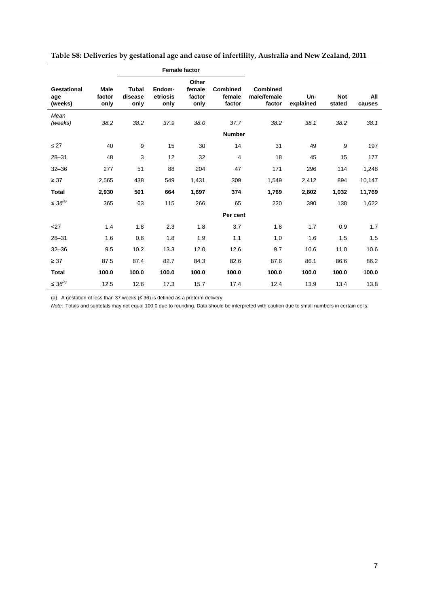|                                      | <b>Female factor</b>          |                                 |                            |                                   |                                     |                                          |                  |                      |               |
|--------------------------------------|-------------------------------|---------------------------------|----------------------------|-----------------------------------|-------------------------------------|------------------------------------------|------------------|----------------------|---------------|
| <b>Gestational</b><br>age<br>(weeks) | <b>Male</b><br>factor<br>only | <b>Tubal</b><br>disease<br>only | Endom-<br>etriosis<br>only | Other<br>female<br>factor<br>only | <b>Combined</b><br>female<br>factor | <b>Combined</b><br>male/female<br>factor | Un-<br>explained | <b>Not</b><br>stated | All<br>causes |
| Mean<br>(weeks)                      | 38.2                          | 38.2                            | 37.9                       | 38.0                              | 37.7                                | 38.2                                     | 38.1             | 38.2                 | 38.1          |
|                                      |                               |                                 |                            |                                   | <b>Number</b>                       |                                          |                  |                      |               |
| $\leq$ 27                            | 40                            | 9                               | 15                         | 30                                | 14                                  | 31                                       | 49               | 9                    | 197           |
| $28 - 31$                            | 48                            | 3                               | 12                         | 32                                | 4                                   | 18                                       | 45               | 15                   | 177           |
| $32 - 36$                            | 277                           | 51                              | 88                         | 204                               | 47                                  | 171                                      | 296              | 114                  | 1,248         |
| $\geq 37$                            | 2,565                         | 438                             | 549                        | 1,431                             | 309                                 | 1,549                                    | 2,412            | 894                  | 10,147        |
| <b>Total</b>                         | 2,930                         | 501                             | 664                        | 1,697                             | 374                                 | 1,769                                    | 2,802            | 1,032                | 11,769        |
| $\leq 36^{(a)}$                      | 365                           | 63                              | 115                        | 266                               | 65                                  | 220                                      | 390              | 138                  | 1,622         |
|                                      |                               |                                 |                            |                                   | Per cent                            |                                          |                  |                      |               |
| $<$ 27                               | 1.4                           | 1.8                             | 2.3                        | 1.8                               | 3.7                                 | 1.8                                      | 1.7              | 0.9                  | 1.7           |
| $28 - 31$                            | 1.6                           | 0.6                             | 1.8                        | 1.9                               | 1.1                                 | 1.0                                      | 1.6              | 1.5                  | 1.5           |
| $32 - 36$                            | 9.5                           | 10.2                            | 13.3                       | 12.0                              | 12.6                                | 9.7                                      | 10.6             | 11.0                 | 10.6          |
| $\geq 37$                            | 87.5                          | 87.4                            | 82.7                       | 84.3                              | 82.6                                | 87.6                                     | 86.1             | 86.6                 | 86.2          |
| <b>Total</b>                         | 100.0                         | 100.0                           | 100.0                      | 100.0                             | 100.0                               | 100.0                                    | 100.0            | 100.0                | 100.0         |
| $\leq 36^{(a)}$                      | 12.5                          | 12.6                            | 17.3                       | 15.7                              | 17.4                                | 12.4                                     | 13.9             | 13.4                 | 13.8          |

<span id="page-9-0"></span>

| Table S8: Deliveries by gestational age and cause of infertility, Australia and New Zealand, 2011 |  |  |  |
|---------------------------------------------------------------------------------------------------|--|--|--|
|                                                                                                   |  |  |  |

(a) A gestation of less than 37 weeks (≤ 36) is defined as a preterm delivery.

*Note*: Totals and subtotals may not equal 100.0 due to rounding. Data should be interpreted with caution due to small numbers in certain cells.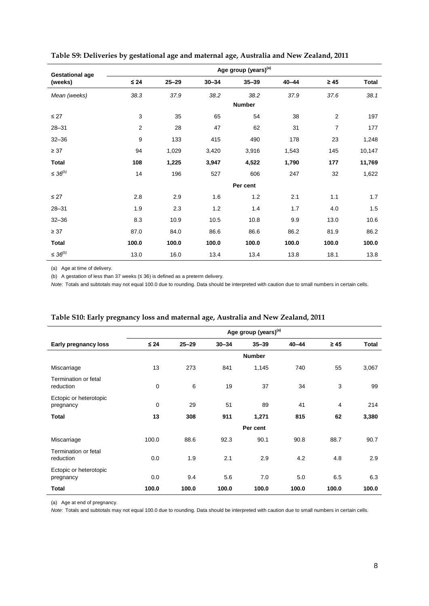| <b>Gestational age</b> | Age group (years) <sup>(a)</sup> |           |           |               |           |                |              |  |  |  |
|------------------------|----------------------------------|-----------|-----------|---------------|-----------|----------------|--------------|--|--|--|
| (weeks)                | $\leq 24$                        | $25 - 29$ | $30 - 34$ | $35 - 39$     | $40 - 44$ | $\geq 45$      | <b>Total</b> |  |  |  |
| Mean (weeks)           | 38.3                             | 37.9      | 38.2      | 38.2          | 37.9      | 37.6           | 38.1         |  |  |  |
|                        |                                  |           |           | <b>Number</b> |           |                |              |  |  |  |
| $\leq$ 27              | 3                                | 35        | 65        | 54            | 38        | 2              | 197          |  |  |  |
| $28 - 31$              | $\overline{2}$                   | 28        | 47        | 62            | 31        | $\overline{7}$ | 177          |  |  |  |
| $32 - 36$              | 9                                | 133       | 415       | 490           | 178       | 23             | 1,248        |  |  |  |
| $\geq 37$              | 94                               | 1,029     | 3,420     | 3,916         | 1,543     | 145            | 10,147       |  |  |  |
| <b>Total</b>           | 108                              | 1,225     | 3,947     | 4,522         | 1,790     | 177            | 11,769       |  |  |  |
| $\leq 36^{(b)}$        | 14                               | 196       | 527       | 606           | 247       | 32             | 1,622        |  |  |  |
|                        |                                  |           |           | Per cent      |           |                |              |  |  |  |
| $\leq$ 27              | 2.8                              | 2.9       | 1.6       | 1.2           | 2.1       | 1.1            | 1.7          |  |  |  |
| $28 - 31$              | 1.9                              | 2.3       | 1.2       | 1.4           | 1.7       | 4.0            | 1.5          |  |  |  |
| $32 - 36$              | 8.3                              | 10.9      | 10.5      | 10.8          | 9.9       | 13.0           | 10.6         |  |  |  |
| $\geq 37$              | 87.0                             | 84.0      | 86.6      | 86.6          | 86.2      | 81.9           | 86.2         |  |  |  |
| <b>Total</b>           | 100.0                            | 100.0     | 100.0     | 100.0         | 100.0     | 100.0          | 100.0        |  |  |  |
| ≤ 36 <sup>(b)</sup>    | 13.0                             | 16.0      | 13.4      | 13.4          | 13.8      | 18.1           | 13.8         |  |  |  |

<span id="page-10-0"></span>**Table S9: Deliveries by gestational age and maternal age, Australia and New Zealand, 2011**

(a) Age at time of delivery.

l,

(b) A gestation of less than 37 weeks (≤ 36) is defined as a preterm delivery.

*Note*: Totals and subtotals may not equal 100.0 due to rounding. Data should be interpreted with caution due to small numbers in certain cells.

|                                          | Age group (years) <sup>(a)</sup> |           |           |               |           |           |              |
|------------------------------------------|----------------------------------|-----------|-----------|---------------|-----------|-----------|--------------|
| Early pregnancy loss                     | $\leq 24$                        | $25 - 29$ | $30 - 34$ | $35 - 39$     | $40 - 44$ | $\geq 45$ | <b>Total</b> |
|                                          |                                  |           |           | <b>Number</b> |           |           |              |
| Miscarriage                              | 13                               | 273       | 841       | 1,145         | 740       | 55        | 3,067        |
| <b>Termination or fetal</b><br>reduction | $\mathbf 0$                      | 6         | 19        | 37            | 34        | 3         | 99           |
| Ectopic or heterotopic<br>pregnancy      | $\mathbf 0$                      | 29        | 51        | 89            | 41        | 4         | 214          |
| <b>Total</b>                             | 13                               | 308       | 911       | 1,271         | 815       | 62        | 3,380        |
|                                          |                                  |           |           | Per cent      |           |           |              |
| Miscarriage                              | 100.0                            | 88.6      | 92.3      | 90.1          | 90.8      | 88.7      | 90.7         |
| <b>Termination or fetal</b><br>reduction | 0.0                              | 1.9       | 2.1       | 2.9           | 4.2       | 4.8       | 2.9          |
| Ectopic or heterotopic<br>pregnancy      | 0.0                              | 9.4       | 5.6       | 7.0           | 5.0       | 6.5       | 6.3          |
| Total                                    | 100.0                            | 100.0     | 100.0     | 100.0         | 100.0     | 100.0     | 100.0        |

<span id="page-10-1"></span>

|  |  | Table S10: Early pregnancy loss and maternal age, Australia and New Zealand, 2011 |
|--|--|-----------------------------------------------------------------------------------|
|  |  |                                                                                   |

(a) Age at end of pregnancy.

*Note*: Totals and subtotals may not equal 100.0 due to rounding. Data should be interpreted with caution due to small numbers in certain cells.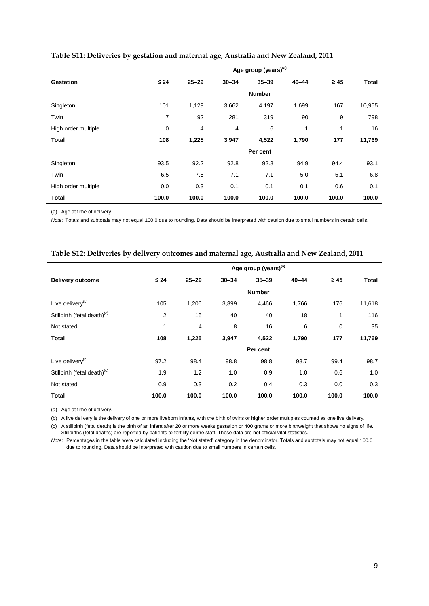|                     | Age group (years) <sup>(a)</sup> |           |           |               |           |           |              |
|---------------------|----------------------------------|-----------|-----------|---------------|-----------|-----------|--------------|
| <b>Gestation</b>    | $\leq 24$                        | $25 - 29$ | $30 - 34$ | $35 - 39$     | $40 - 44$ | $\geq 45$ | <b>Total</b> |
|                     |                                  |           |           | <b>Number</b> |           |           |              |
| Singleton           | 101                              | 1,129     | 3,662     | 4,197         | 1,699     | 167       | 10,955       |
| Twin                | $\overline{7}$                   | 92        | 281       | 319           | 90        | 9         | 798          |
| High order multiple | $\mathbf 0$                      | 4         | 4         | 6             | 1         | 1         | 16           |
| <b>Total</b>        | 108                              | 1,225     | 3,947     | 4,522         | 1,790     | 177       | 11,769       |
|                     |                                  |           |           | Per cent      |           |           |              |
| Singleton           | 93.5                             | 92.2      | 92.8      | 92.8          | 94.9      | 94.4      | 93.1         |
| Twin                | 6.5                              | 7.5       | 7.1       | 7.1           | 5.0       | 5.1       | 6.8          |
| High order multiple | 0.0                              | 0.3       | 0.1       | 0.1           | 0.1       | 0.6       | 0.1          |
| <b>Total</b>        | 100.0                            | 100.0     | 100.0     | 100.0         | 100.0     | 100.0     | 100.0        |

#### <span id="page-11-0"></span>**Table S11: Deliveries by gestation and maternal age, Australia and New Zealand, 2011**

(a) Age at time of delivery.

*Note*: Totals and subtotals may not equal 100.0 due to rounding. Data should be interpreted with caution due to small numbers in certain cells.

#### <span id="page-11-1"></span>**Table S12: Deliveries by delivery outcomes and maternal age, Australia and New Zealand, 2011**

|                                         | Age group (years) <sup>(a)</sup> |           |           |               |           |           |              |
|-----------------------------------------|----------------------------------|-----------|-----------|---------------|-----------|-----------|--------------|
| Delivery outcome                        | $\leq 24$                        | $25 - 29$ | $30 - 34$ | $35 - 39$     | $40 - 44$ | $\geq 45$ | <b>Total</b> |
|                                         |                                  |           |           | <b>Number</b> |           |           |              |
| Live delivery <sup>(b)</sup>            | 105                              | 1,206     | 3,899     | 4,466         | 1,766     | 176       | 11,618       |
| Stillbirth (fetal death) <sup>(c)</sup> | 2                                | 15        | 40        | 40            | 18        | 1         | 116          |
| Not stated                              | 1                                | 4         | 8         | 16            | 6         | 0         | 35           |
| Total                                   | 108                              | 1,225     | 3,947     | 4,522         | 1,790     | 177       | 11,769       |
|                                         |                                  |           |           | Per cent      |           |           |              |
| Live delivery <sup>(b)</sup>            | 97.2                             | 98.4      | 98.8      | 98.8          | 98.7      | 99.4      | 98.7         |
| Stillbirth (fetal death) <sup>(c)</sup> | 1.9                              | 1.2       | 1.0       | 0.9           | 1.0       | 0.6       | 1.0          |
| Not stated                              | 0.9                              | 0.3       | 0.2       | 0.4           | 0.3       | 0.0       | 0.3          |
| Total                                   | 100.0                            | 100.0     | 100.0     | 100.0         | 100.0     | 100.0     | 100.0        |

(a) Age at time of delivery.

(b) A live delivery is the delivery of one or more liveborn infants, with the birth of twins or higher order multiples counted as one live delivery.

(c) A stillbirth (fetal death) is the birth of an infant after 20 or more weeks gestation or 400 grams or more birthweight that shows no signs of life. Stillbirths (fetal deaths) are reported by patients to fertility centre staff. These data are not official vital statistics.

*Note*: Percentages in the table were calculated including the 'Not stated' category in the denominator. Totals and subtotals may not equal 100.0 due to rounding. Data should be interpreted with caution due to small numbers in certain cells.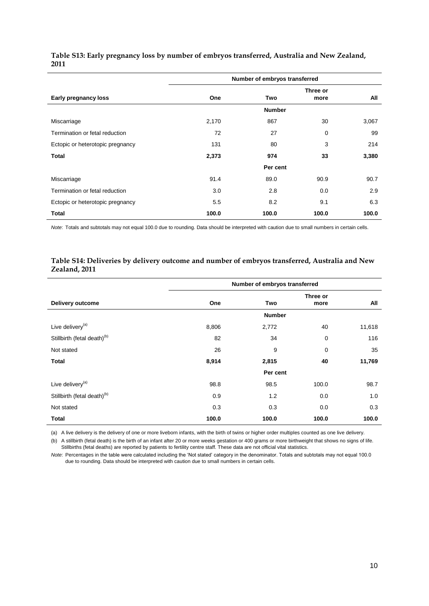|                                  | Number of embryos transferred |               |                  |       |  |  |
|----------------------------------|-------------------------------|---------------|------------------|-------|--|--|
| Early pregnancy loss             | One                           | Two           | Three or<br>more | All   |  |  |
|                                  |                               | <b>Number</b> |                  |       |  |  |
| Miscarriage                      | 2,170                         | 867           | 30               | 3,067 |  |  |
| Termination or fetal reduction   | 72                            | 27            | 0                | 99    |  |  |
| Ectopic or heterotopic pregnancy | 131                           | 80            | 3                | 214   |  |  |
| <b>Total</b>                     | 2,373                         | 974           | 33               | 3,380 |  |  |
|                                  |                               | Per cent      |                  |       |  |  |
| Miscarriage                      | 91.4                          | 89.0          | 90.9             | 90.7  |  |  |
| Termination or fetal reduction   | 3.0                           | 2.8           | 0.0              | 2.9   |  |  |
| Ectopic or heterotopic pregnancy | 5.5                           | 8.2           | 9.1              | 6.3   |  |  |
| Total                            | 100.0                         | 100.0         | 100.0            | 100.0 |  |  |

### <span id="page-12-0"></span>**Table S13: Early pregnancy loss by number of embryos transferred, Australia and New Zealand, 2011**

*Note*: Totals and subtotals may not equal 100.0 due to rounding. Data should be interpreted with caution due to small numbers in certain cells.

## <span id="page-12-1"></span>**Table S14: Deliveries by delivery outcome and number of embryos transferred, Australia and New Zealand, 2011**

|                                         | Number of embryos transferred |               |             |        |  |
|-----------------------------------------|-------------------------------|---------------|-------------|--------|--|
|                                         |                               |               | Three or    |        |  |
| Delivery outcome                        | One                           | Two           | more        | All    |  |
|                                         |                               | <b>Number</b> |             |        |  |
| Live delivery <sup>(a)</sup>            | 8,806                         | 2,772         | 40          | 11,618 |  |
| Stillbirth (fetal death) <sup>(b)</sup> | 82                            | 34            | $\mathbf 0$ | 116    |  |
| Not stated                              | 26                            | 9             | $\mathbf 0$ | 35     |  |
| Total                                   | 8,914                         | 2,815         | 40          | 11,769 |  |
|                                         |                               | Per cent      |             |        |  |
| Live delivery <sup>(a)</sup>            | 98.8                          | 98.5          | 100.0       | 98.7   |  |
| Stillbirth (fetal death) <sup>(b)</sup> | 0.9                           | 1.2           | 0.0         | 1.0    |  |
| Not stated                              | 0.3                           | 0.3           | 0.0         | 0.3    |  |
| Total                                   | 100.0                         | 100.0         | 100.0       | 100.0  |  |

(a) A live delivery is the delivery of one or more liveborn infants, with the birth of twins or higher order multiples counted as one live delivery.

(b) A stillbirth (fetal death) is the birth of an infant after 20 or more weeks gestation or 400 grams or more birthweight that shows no signs of life. Stillbirths (fetal deaths) are reported by patients to fertility centre staff. These data are not official vital statistics.

*Note*: Percentages in the table were calculated including the 'Not stated' category in the denominator. Totals and subtotals may not equal 100.0 due to rounding. Data should be interpreted with caution due to small numbers in certain cells.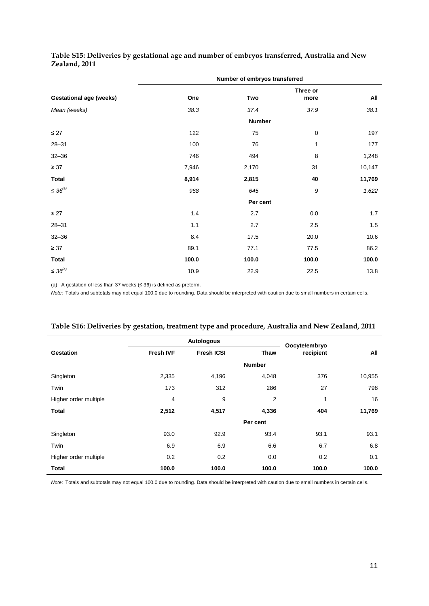|                                |       | Number of embryos transferred |             |        |
|--------------------------------|-------|-------------------------------|-------------|--------|
|                                |       |                               | Three or    |        |
| <b>Gestational age (weeks)</b> | One   | Two                           | more        | All    |
| Mean (weeks)                   | 38.3  | 37.4                          | 37.9        | 38.1   |
|                                |       | <b>Number</b>                 |             |        |
| $\leq$ 27                      | 122   | 75                            | $\mathbf 0$ | 197    |
| $28 - 31$                      | 100   | 76                            | 1           | 177    |
| $32 - 36$                      | 746   | 494                           | 8           | 1,248  |
| $\geq 37$                      | 7,946 | 2,170                         | 31          | 10,147 |
| <b>Total</b>                   | 8,914 | 2,815                         | 40          | 11,769 |
| $\leq 36^{(a)}$                | 968   | 645                           | 9           | 1,622  |
|                                |       | Per cent                      |             |        |
| $\leq$ 27                      | 1.4   | 2.7                           | $0.0\,$     | 1.7    |
| $28 - 31$                      | 1.1   | 2.7                           | 2.5         | 1.5    |
| $32 - 36$                      | 8.4   | 17.5                          | 20.0        | 10.6   |
| $\geq 37$                      | 89.1  | 77.1                          | 77.5        | 86.2   |
| <b>Total</b>                   | 100.0 | 100.0                         | 100.0       | 100.0  |
| $\leq 36^{(a)}$                | 10.9  | 22.9                          | 22.5        | 13.8   |

### <span id="page-13-0"></span>**Table S15: Deliveries by gestational age and number of embryos transferred, Australia and New Zealand, 2011**

(a) A gestation of less than 37 weeks ( $\leq$  36) is defined as preterm.

*Note*: Totals and subtotals may not equal 100.0 due to rounding. Data should be interpreted with caution due to small numbers in certain cells.

|                       |                  | Autologous        |                | Oocyte/embryo |        |  |
|-----------------------|------------------|-------------------|----------------|---------------|--------|--|
| <b>Gestation</b>      | <b>Fresh IVF</b> | <b>Fresh ICSI</b> | <b>Thaw</b>    | recipient     | All    |  |
|                       |                  |                   | <b>Number</b>  |               |        |  |
| Singleton             | 2,335            | 4,196             | 4,048          | 376           | 10,955 |  |
| Twin                  | 173              | 312               | 286            | 27            | 798    |  |
| Higher order multiple | 4                | 9                 | $\overline{2}$ | 1             | 16     |  |
| <b>Total</b>          | 2,512            | 4,517             | 4,336          | 404           | 11,769 |  |
|                       |                  |                   | Per cent       |               |        |  |
| Singleton             | 93.0             | 92.9              | 93.4           | 93.1          | 93.1   |  |
| Twin                  | 6.9              | 6.9               | 6.6            | 6.7           | 6.8    |  |
| Higher order multiple | 0.2              | 0.2               | 0.0            | 0.2           | 0.1    |  |
| <b>Total</b>          | 100.0            | 100.0             | 100.0          | 100.0         | 100.0  |  |

<span id="page-13-1"></span>

*Note*: Totals and subtotals may not equal 100.0 due to rounding. Data should be interpreted with caution due to small numbers in certain cells.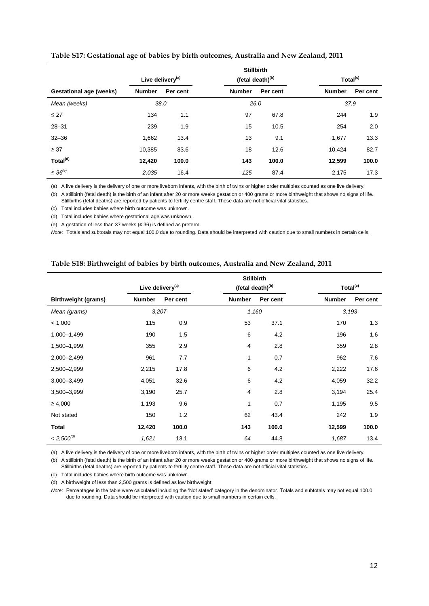|                                |               | <b>Stillbirth</b><br>Live delivery <sup>(a)</sup><br>(fetal death) <sup>(b)</sup> |               | Total <sup>(c)</sup> |               |          |
|--------------------------------|---------------|-----------------------------------------------------------------------------------|---------------|----------------------|---------------|----------|
| <b>Gestational age (weeks)</b> | <b>Number</b> | Per cent                                                                          | <b>Number</b> | Per cent             | <b>Number</b> | Per cent |
| Mean (weeks)                   | 38.0          |                                                                                   | 26.0          |                      | 37.9          |          |
| $\leq$ 27                      | 134           | 1.1                                                                               | 97            | 67.8                 | 244           | 1.9      |
| $28 - 31$                      | 239           | 1.9                                                                               | 15            | 10.5                 | 254           | 2.0      |
| $32 - 36$                      | 1,662         | 13.4                                                                              | 13            | 9.1                  | 1,677         | 13.3     |
| $\geq 37$                      | 10,385        | 83.6                                                                              | 18            | 12.6                 | 10.424        | 82.7     |
| Total <sup>(d)</sup>           | 12,420        | 100.0                                                                             | 143           | 100.0                | 12,599        | 100.0    |
| $\leq 36^{(e)}$                | 2,035         | 16.4                                                                              | 125           | 87.4                 | 2,175         | 17.3     |

#### <span id="page-14-0"></span>**Table S17: Gestational age of babies by birth outcomes, Australia and New Zealand, 2011**

(a) A live delivery is the delivery of one or more liveborn infants, with the birth of twins or higher order multiples counted as one live delivery.

(b) A stillbirth (fetal death) is the birth of an infant after 20 or more weeks gestation or 400 grams or more birthweight that shows no signs of life. Stillbirths (fetal deaths) are reported by patients to fertility centre staff. These data are not official vital statistics.

(c) Total includes babies where birth outcome was unknown.

(d) Total includes babies where gestational age was unknown.

(e) A gestation of less than 37 weeks (≤ 36) is defined as preterm.

*Note*: Totals and subtotals may not equal 100.0 due to rounding. Data should be interpreted with caution due to small numbers in certain cells.

#### <span id="page-14-1"></span>**Table S18: Birthweight of babies by birth outcomes, Australia and New Zealand, 2011**

|                            |                              |          |               | <b>Stillbirth</b>            |               |                      |
|----------------------------|------------------------------|----------|---------------|------------------------------|---------------|----------------------|
|                            | Live delivery <sup>(a)</sup> |          |               | (fetal death) <sup>(b)</sup> |               | Total <sup>(c)</sup> |
| <b>Birthweight (grams)</b> | <b>Number</b>                | Per cent | <b>Number</b> | Per cent                     | <b>Number</b> | Per cent             |
| Mean (grams)               | 3,207                        |          |               | 1,160                        |               | 3,193                |
| < 1,000                    | 115                          | 0.9      | 53            | 37.1                         | 170           | 1.3                  |
| 1,000-1,499                | 190                          | 1.5      | 6             | 4.2                          | 196           | 1.6                  |
| 1,500-1,999                | 355                          | 2.9      | 4             | 2.8                          | 359           | 2.8                  |
| 2,000-2,499                | 961                          | 7.7      | 1             | 0.7                          | 962           | 7.6                  |
| 2,500-2,999                | 2,215                        | 17.8     | 6             | 4.2                          | 2,222         | 17.6                 |
| 3,000-3,499                | 4,051                        | 32.6     | 6             | 4.2                          | 4,059         | 32.2                 |
| 3,500-3,999                | 3,190                        | 25.7     | 4             | 2.8                          | 3,194         | 25.4                 |
| $\geq 4,000$               | 1,193                        | 9.6      | 1             | 0.7                          | 1,195         | 9.5                  |
| Not stated                 | 150                          | 1.2      | 62            | 43.4                         | 242           | 1.9                  |
| <b>Total</b>               | 12,420                       | 100.0    | 143           | 100.0                        | 12,599        | 100.0                |
| $<2,500^{\left(d\right)}$  | 1,621                        | 13.1     | 64            | 44.8                         | 1,687         | 13.4                 |

(a) A live delivery is the delivery of one or more liveborn infants, with the birth of twins or higher order multiples counted as one live delivery.

(b) A stillbirth (fetal death) is the birth of an infant after 20 or more weeks gestation or 400 grams or more birthweight that shows no signs of life. Stillbirths (fetal deaths) are reported by patients to fertility centre staff. These data are not official vital statistics.

(c) Total includes babies where birth outcome was unknown.

(d) A birthweight of less than 2,500 grams is defined as low birthweight.

*Note*: Percentages in the table were calculated including the 'Not stated' category in the denominator. Totals and subtotals may not equal 100.0 due to rounding. Data should be interpreted with caution due to small numbers in certain cells.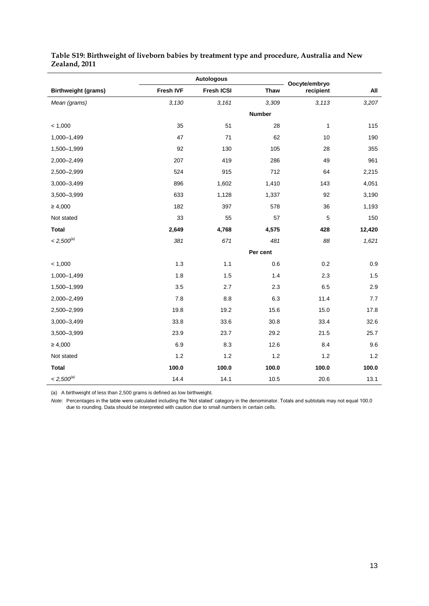|                            |           | <b>Autologous</b> |             | Oocyte/embryo |        |
|----------------------------|-----------|-------------------|-------------|---------------|--------|
| <b>Birthweight (grams)</b> | Fresh IVF | Fresh ICSI        | <b>Thaw</b> | recipient     | All    |
| Mean (grams)               | 3,130     | 3,161             | 3,309       | 3,113         | 3,207  |
|                            |           |                   | Number      |               |        |
| < 1,000                    | 35        | 51                | 28          | $\mathbf{1}$  | 115    |
| 1,000-1,499                | 47        | 71                | 62          | 10            | 190    |
| 1,500-1,999                | 92        | 130               | 105         | 28            | 355    |
| 2,000-2,499                | 207       | 419               | 286         | 49            | 961    |
| 2,500-2,999                | 524       | 915               | 712         | 64            | 2,215  |
| 3,000-3,499                | 896       | 1,602             | 1,410       | 143           | 4,051  |
| 3,500-3,999                | 633       | 1,128             | 1,337       | 92            | 3,190  |
| $\geq 4,000$               | 182       | 397               | 578         | 36            | 1,193  |
| Not stated                 | 33        | 55                | 57          | 5             | 150    |
| <b>Total</b>               | 2,649     | 4,768             | 4,575       | 428           | 12,420 |
| $< 2,500^{(a)}$            | 381       | 671               | 481         | 88            | 1,621  |
|                            |           |                   | Per cent    |               |        |
| < 1,000                    | 1.3       | 1.1               | 0.6         | 0.2           | 0.9    |
| 1,000-1,499                | 1.8       | 1.5               | 1.4         | 2.3           | 1.5    |
| 1,500-1,999                | 3.5       | 2.7               | 2.3         | 6.5           | 2.9    |
| 2,000-2,499                | 7.8       | 8.8               | 6.3         | 11.4          | 7.7    |
| 2,500-2,999                | 19.8      | 19.2              | 15.6        | 15.0          | 17.8   |
| 3,000-3,499                | 33.8      | 33.6              | 30.8        | 33.4          | 32.6   |
| 3,500-3,999                | 23.9      | 23.7              | 29.2        | 21.5          | 25.7   |
| $\geq 4,000$               | 6.9       | 8.3               | 12.6        | 8.4           | 9.6    |
| Not stated                 | $1.2$     | $1.2$             | $1.2$       | $1.2$         | 1.2    |
| <b>Total</b>               | 100.0     | 100.0             | 100.0       | 100.0         | 100.0  |
| $< 2,500^{\rm (a)}$        | 14.4      | 14.1              | 10.5        | 20.6          | 13.1   |

### <span id="page-15-0"></span>**Table S19: Birthweight of liveborn babies by treatment type and procedure, Australia and New Zealand, 2011**

(a) A birthweight of less than 2,500 grams is defined as low birthweight.

*Note*: Percentages in the table were calculated including the 'Not stated' category in the denominator. Totals and subtotals may not equal 100.0 due to rounding. Data should be interpreted with caution due to small numbers in certain cells.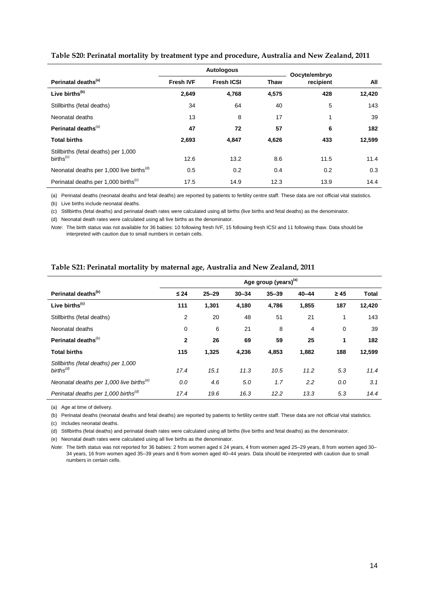|                                                               |                  | <b>Autologous</b> |       | Oocyte/embryo |        |
|---------------------------------------------------------------|------------------|-------------------|-------|---------------|--------|
| Perinatal deaths <sup>(a)</sup>                               | <b>Fresh IVF</b> | <b>Fresh ICSI</b> | Thaw  | recipient     | All    |
| Live births <sup>(b)</sup>                                    | 2,649            | 4,768             | 4,575 | 428           | 12,420 |
| Stillbirths (fetal deaths)                                    | 34               | 64                | 40    | 5             | 143    |
| Neonatal deaths                                               | 13               | 8                 | 17    | 1             | 39     |
| Perinatal deaths <sup>(a)</sup>                               | 47               | 72                | 57    | 6             | 182    |
| <b>Total births</b>                                           | 2,693            | 4,847             | 4,626 | 433           | 12,599 |
| Stillbirths (fetal deaths) per 1,000<br>births <sup>(c)</sup> | 12.6             | 13.2              | 8.6   | 11.5          | 11.4   |
| Neonatal deaths per 1,000 live births <sup>(d)</sup>          | 0.5              | 0.2               | 0.4   | 0.2           | 0.3    |
| Perinatal deaths per 1,000 births <sup>(c)</sup>              | 17.5             | 14.9              | 12.3  | 13.9          | 14.4   |

#### <span id="page-16-0"></span>**Table S20: Perinatal mortality by treatment type and procedure, Australia and New Zealand, 2011**

(a) Perinatal deaths (neonatal deaths and fetal deaths) are reported by patients to fertility centre staff. These data are not official vital statistics.

(b) Live births include neonatal deaths.

(c) Stillbirths (fetal deaths) and perinatal death rates were calculated using all births (live births and fetal deaths) as the denominator.

(d) Neonatal death rates were calculated using all live births as the denominator.

*Note*: The birth status was not available for 36 babies: 10 following fresh IVF, 15 following fresh ICSI and 11 following thaw. Data should be interpreted with caution due to small numbers in certain cells.

#### <span id="page-16-1"></span>**Table S21: Perinatal mortality by maternal age, Australia and New Zealand, 2011**

|                                                               |              |           |           | Age group (years) <sup>(a)</sup> |           |             |              |
|---------------------------------------------------------------|--------------|-----------|-----------|----------------------------------|-----------|-------------|--------------|
| Perinatal deaths <sup>(b)</sup>                               | $\leq 24$    | $25 - 29$ | $30 - 34$ | $35 - 39$                        | $40 - 44$ | $\geq 45$   | <b>Total</b> |
| Live births <sup>(c)</sup>                                    | 111          | 1,301     | 4,180     | 4,786                            | 1,855     | 187         | 12,420       |
| Stillbirths (fetal deaths)                                    | 2            | 20        | 48        | 51                               | 21        | 1           | 143          |
| Neonatal deaths                                               | 0            | 6         | 21        | 8                                | 4         | $\mathbf 0$ | 39           |
| Perinatal deaths <sup>(b)</sup>                               | $\mathbf{2}$ | 26        | 69        | 59                               | 25        | 1           | 182          |
| <b>Total births</b>                                           | 115          | 1,325     | 4,236     | 4,853                            | 1,882     | 188         | 12,599       |
| Stillbirths (fetal deaths) per 1,000<br>births <sup>(d)</sup> | 17.4         | 15.1      | 11.3      | 10.5                             | 11.2      | 5.3         | 11.4         |
| Neonatal deaths per 1,000 live births <sup>(e)</sup>          | 0.0          | 4.6       | 5.0       | 1.7                              | 2.2       | 0.0         | 3.1          |
| Perinatal deaths per 1,000 births <sup>(d)</sup>              | 17.4         | 19.6      | 16.3      | 12.2                             | 13.3      | 5.3         | 14.4         |

(a) Age at time of delivery.

(b) Perinatal deaths (neonatal deaths and fetal deaths) are reported by patients to fertility centre staff. These data are not official vital statistics.

(c) Includes neonatal deaths.

(d) Stillbirths (fetal deaths) and perinatal death rates were calculated using all births (live births and fetal deaths) as the denominator.

(e) Neonatal death rates were calculated using all live births as the denominator.

*Note*: The birth status was not reported for 36 babies: 2 from women aged ≤ 24 years, 4 from women aged 25–29 years, 8 from women aged 30– 34 years, 16 from women aged 35–39 years and 6 from women aged 40–44 years. Data should be interpreted with caution due to small numbers in certain cells.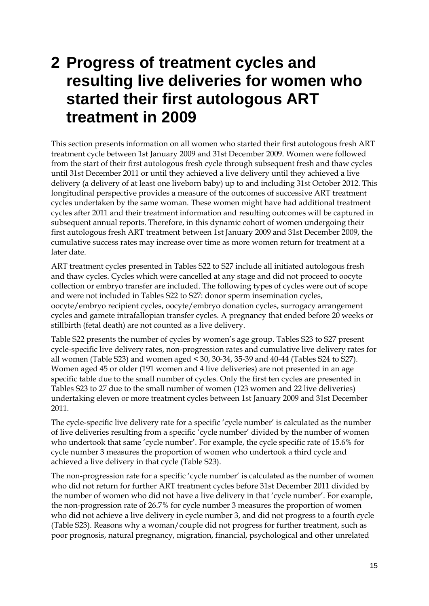## <span id="page-17-0"></span>**2 Progress of treatment cycles and resulting live deliveries for women who started their first autologous ART treatment in 2009**

This section presents information on all women who started their first autologous fresh ART treatment cycle between 1st January 2009 and 31st December 2009. Women were followed from the start of their first autologous fresh cycle through subsequent fresh and thaw cycles until 31st December 2011 or until they achieved a live delivery until they achieved a live delivery (a delivery of at least one liveborn baby) up to and including 31st October 2012. This longitudinal perspective provides a measure of the outcomes of successive ART treatment cycles undertaken by the same woman. These women might have had additional treatment cycles after 2011 and their treatment information and resulting outcomes will be captured in subsequent annual reports. Therefore, in this dynamic cohort of women undergoing their first autologous fresh ART treatment between 1st January 2009 and 31st December 2009, the cumulative success rates may increase over time as more women return for treatment at a later date.

ART treatment cycles presented in Tables S22 to S27 include all initiated autologous fresh and thaw cycles. Cycles which were cancelled at any stage and did not proceed to oocyte collection or embryo transfer are included. The following types of cycles were out of scope and were not included in Tables S22 to S27: donor sperm insemination cycles, oocyte/embryo recipient cycles, oocyte/embryo donation cycles, surrogacy arrangement cycles and gamete intrafallopian transfer cycles. A pregnancy that ended before 20 weeks or stillbirth (fetal death) are not counted as a live delivery.

Table S22 presents the number of cycles by women's age group. Tables S23 to S27 present cycle-specific live delivery rates, non-progression rates and cumulative live delivery rates for all women (Table S23) and women aged < 30, 30-34, 35-39 and 40-44 (Tables S24 to S27). Women aged 45 or older (191 women and 4 live deliveries) are not presented in an age specific table due to the small number of cycles. Only the first ten cycles are presented in Tables S23 to 27 due to the small number of women (123 women and 22 live deliveries) undertaking eleven or more treatment cycles between 1st January 2009 and 31st December 2011.

The cycle-specific live delivery rate for a specific 'cycle number' is calculated as the number of live deliveries resulting from a specific 'cycle number' divided by the number of women who undertook that same 'cycle number'. For example, the cycle specific rate of 15.6% for cycle number 3 measures the proportion of women who undertook a third cycle and achieved a live delivery in that cycle (Table S23).

The non-progression rate for a specific 'cycle number' is calculated as the number of women who did not return for further ART treatment cycles before 31st December 2011 divided by the number of women who did not have a live delivery in that 'cycle number'. For example, the non-progression rate of 26.7% for cycle number 3 measures the proportion of women who did not achieve a live delivery in cycle number 3, and did not progress to a fourth cycle (Table S23). Reasons why a woman/couple did not progress for further treatment, such as poor prognosis, natural pregnancy, migration, financial, psychological and other unrelated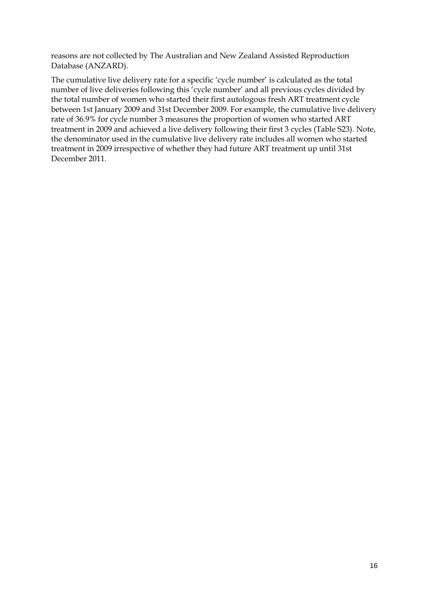reasons are not collected by The Australian and New Zealand Assisted Reproduction Database (ANZARD).

The cumulative live delivery rate for a specific 'cycle number' is calculated as the total number of live deliveries following this 'cycle number' and all previous cycles divided by the total number of women who started their first autologous fresh ART treatment cycle between 1st January 2009 and 31st December 2009. For example, the cumulative live delivery rate of 36.9% for cycle number 3 measures the proportion of women who started ART treatment in 2009 and achieved a live delivery following their first 3 cycles (Table S23). Note, the denominator used in the cumulative live delivery rate includes all women who started treatment in 2009 irrespective of whether they had future ART treatment up until 31st December 2011.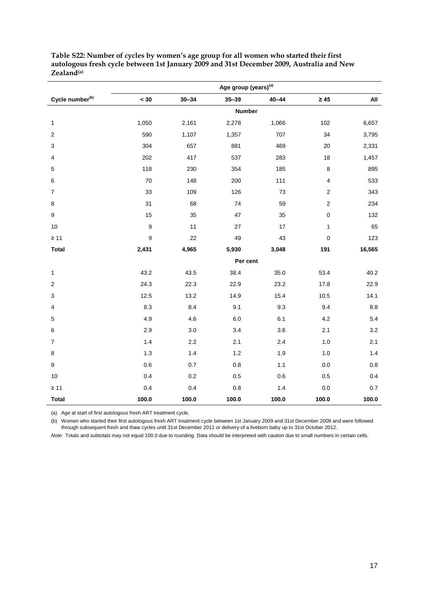|                             | Age group (years) <sup>(a)</sup> |           |           |           |                  |         |
|-----------------------------|----------------------------------|-----------|-----------|-----------|------------------|---------|
| Cycle number <sup>(b)</sup> | $< 30$                           | $30 - 34$ | $35 - 39$ | $40 - 44$ | $\geq 45$        | All     |
|                             |                                  |           |           | Number    |                  |         |
| $\mathbf{1}$                | 1,050                            | 2,161     | 2,278     | 1,066     | 102              | 6,657   |
| $\overline{c}$              | 590                              | 1,107     | 1,357     | 707       | 34               | 3,795   |
| 3                           | 304                              | 657       | 881       | 469       | 20               | 2,331   |
| 4                           | 202                              | 417       | 537       | 283       | $18$             | 1,457   |
| $\mathbf 5$                 | 118                              | 230       | 354       | 185       | 8                | 895     |
| 6                           | 70                               | 148       | 200       | 111       | $\pmb{4}$        | 533     |
| $\overline{7}$              | 33                               | 109       | 126       | 73        | $\boldsymbol{2}$ | 343     |
| $\bf 8$                     | 31                               | 68        | 74        | 59        | $\boldsymbol{2}$ | 234     |
| 9                           | 15                               | 35        | 47        | 35        | $\mathbf 0$      | 132     |
| $10$                        | $\boldsymbol{9}$                 | 11        | $27\,$    | 17        | $\mathbf 1$      | 65      |
| $\geq 11$                   | 9                                | 22        | 49        | 43        | $\pmb{0}$        | 123     |
| <b>Total</b>                | 2,431                            | 4,965     | 5,930     | 3,048     | 191              | 16,565  |
|                             |                                  |           |           | Per cent  |                  |         |
| 1                           | 43.2                             | 43.5      | 38.4      | 35.0      | 53.4             | 40.2    |
| $\mathbf 2$                 | 24.3                             | 22.3      | 22.9      | 23.2      | 17.8             | 22.9    |
| 3                           | 12.5                             | 13.2      | 14.9      | 15.4      | 10.5             | 14.1    |
| $\overline{\mathbf{4}}$     | 8.3                              | 8.4       | 9.1       | 9.3       | 9.4              | 8.8     |
| $\mathbf 5$                 | 4.9                              | 4.6       | 6.0       | 6.1       | 4.2              | 5.4     |
| $\,6$                       | 2.9                              | $3.0\,$   | 3.4       | 3.6       | 2.1              | 3.2     |
| $\overline{7}$              | 1.4                              | 2.2       | 2.1       | 2.4       | $1.0$            | 2.1     |
| 8                           | 1.3                              | 1.4       | 1.2       | 1.9       | $1.0$            | 1.4     |
| 9                           | 0.6                              | 0.7       | 0.8       | 1.1       | 0.0              | $0.8\,$ |
| 10                          | 0.4                              | 0.2       | 0.5       | 0.6       | 0.5              | 0.4     |
| $\geq 11$                   | 0.4                              | 0.4       | 0.8       | 1.4       | 0.0              | $0.7\,$ |
| <b>Total</b>                | 100.0                            | 100.0     | 100.0     | 100.0     | 100.0            | 100.0   |

<span id="page-19-0"></span>**Table S22: Number of cycles by women's age group for all women who started their first autologous fresh cycle between 1st January 2009 and 31st December 2009, Australia and New Zealand(a)**

(a) Age at start of first autologous fresh ART treatment cycle.

(b) Women who started their first autologous fresh ART treatment cycle between 1st January 2009 and 31st December 2009 and were followed

through subsequent fresh and thaw cycles until 31st December 2011 or delivery of a liveborn baby up to 31st October 2012.

*Note*: Totals and subtotals may not equal 100.0 due to rounding. Data should be interpreted with caution due to small numbers in certain cells.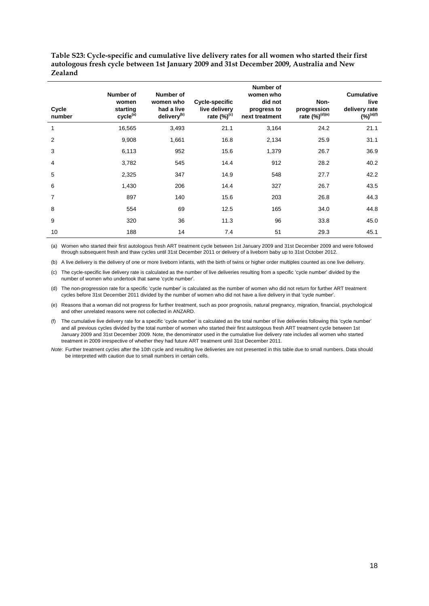<span id="page-20-0"></span>**Table S23: Cycle-specific and cumulative live delivery rates for all women who started their first autologous fresh cycle between 1st January 2009 and 31st December 2009, Australia and New Zealand**

| Cycle<br>number | Number of<br>women<br>starting<br>cycle <sup>(a)</sup> | Number of<br>women who<br>had a live<br>delivery <sup>(b)</sup> | Cycle-specific<br>live delivery<br>rate $(\%)^{(c)}$ | Number of<br>women who<br>did not<br>progress to<br>next treatment | Non-<br>progression<br>rate (%) <sup>(d)(e)</sup> | <b>Cumulative</b><br>live<br>delivery rate<br>$(y_0)^{(a)(f)}$ |
|-----------------|--------------------------------------------------------|-----------------------------------------------------------------|------------------------------------------------------|--------------------------------------------------------------------|---------------------------------------------------|----------------------------------------------------------------|
| $\mathbf{1}$    | 16,565                                                 | 3,493                                                           | 21.1                                                 | 3,164                                                              | 24.2                                              | 21.1                                                           |
| $\overline{2}$  | 9,908                                                  | 1,661                                                           | 16.8                                                 | 2,134                                                              | 25.9                                              | 31.1                                                           |
| 3               | 6,113                                                  | 952                                                             | 15.6                                                 | 1,379                                                              | 26.7                                              | 36.9                                                           |
| $\overline{4}$  | 3,782                                                  | 545                                                             | 14.4                                                 | 912                                                                | 28.2                                              | 40.2                                                           |
| 5               | 2,325                                                  | 347                                                             | 14.9                                                 | 548                                                                | 27.7                                              | 42.2                                                           |
| 6               | 1,430                                                  | 206                                                             | 14.4                                                 | 327                                                                | 26.7                                              | 43.5                                                           |
| $\overline{7}$  | 897                                                    | 140                                                             | 15.6                                                 | 203                                                                | 26.8                                              | 44.3                                                           |
| 8               | 554                                                    | 69                                                              | 12.5                                                 | 165                                                                | 34.0                                              | 44.8                                                           |
| 9               | 320                                                    | 36                                                              | 11.3                                                 | 96                                                                 | 33.8                                              | 45.0                                                           |
| 10              | 188                                                    | 14                                                              | 7.4                                                  | 51                                                                 | 29.3                                              | 45.1                                                           |

(a) Women who started their first autologous fresh ART treatment cycle between 1st January 2009 and 31st December 2009 and were followed through subsequent fresh and thaw cycles until 31st December 2011 or delivery of a liveborn baby up to 31st October 2012.

(b) A live delivery is the delivery of one or more liveborn infants, with the birth of twins or higher order multiples counted as one live delivery.

(c) The cycle-specific live delivery rate is calculated as the number of live deliveries resulting from a specific 'cycle number' divided by the number of women who undertook that same 'cycle number'.

(d) The non-progression rate for a specific 'cycle number' is calculated as the number of women who did not return for further ART treatment cycles before 31st December 2011 divided by the number of women who did not have a live delivery in that 'cycle number'.

(e) Reasons that a woman did not progress for further treatment, such as poor prognosis, natural pregnancy, migration, financial, psychological and other unrelated reasons were not collected in ANZARD.

(f) The cumulative live delivery rate for a specific 'cycle number' is calculated as the total number of live deliveries following this 'cycle number' and all previous cycles divided by the total number of women who started their first autologous fresh ART treatment cycle between 1st January 2009 and 31st December 2009. Note, the denominator used in the cumulative live delivery rate includes all women who started treatment in 2009 irrespective of whether they had future ART treatment until 31st December 2011.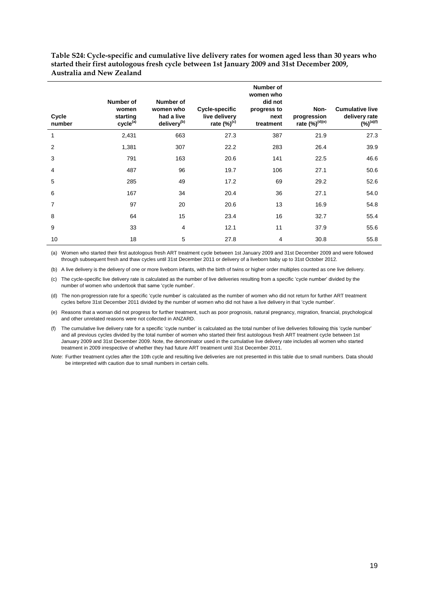<span id="page-21-0"></span>**Table S24: Cycle-specific and cumulative live delivery rates for women aged less than 30 years who started their first autologous fresh cycle between 1st January 2009 and 31st December 2009, Australia and New Zealand**

| Cycle<br>number | Number of<br>women<br>starting<br>cycle <sup>(a)</sup> | Number of<br>women who<br>had a live<br>delivery <sup>(b)</sup> | Cycle-specific<br>live delivery<br>rate $(\%)^{(c)}$ | Number of<br>women who<br>did not<br>progress to<br>next<br>treatment | Non-<br>progression<br>rate (%) <sup>(d)(e)</sup> | <b>Cumulative live</b><br>delivery rate<br>$(y_0)^{(a)(f)}$ |
|-----------------|--------------------------------------------------------|-----------------------------------------------------------------|------------------------------------------------------|-----------------------------------------------------------------------|---------------------------------------------------|-------------------------------------------------------------|
| 1               | 2,431                                                  | 663                                                             | 27.3                                                 | 387                                                                   | 21.9                                              | 27.3                                                        |
| 2               | 1,381                                                  | 307                                                             | 22.2                                                 | 283                                                                   | 26.4                                              | 39.9                                                        |
| 3               | 791                                                    | 163                                                             | 20.6                                                 | 141                                                                   | 22.5                                              | 46.6                                                        |
| 4               | 487                                                    | 96                                                              | 19.7                                                 | 106                                                                   | 27.1                                              | 50.6                                                        |
| 5               | 285                                                    | 49                                                              | 17.2                                                 | 69                                                                    | 29.2                                              | 52.6                                                        |
| 6               | 167                                                    | 34                                                              | 20.4                                                 | 36                                                                    | 27.1                                              | 54.0                                                        |
| $\overline{7}$  | 97                                                     | 20                                                              | 20.6                                                 | 13                                                                    | 16.9                                              | 54.8                                                        |
| 8               | 64                                                     | 15                                                              | 23.4                                                 | 16                                                                    | 32.7                                              | 55.4                                                        |
| 9               | 33                                                     | 4                                                               | 12.1                                                 | 11                                                                    | 37.9                                              | 55.6                                                        |
| 10              | 18                                                     | 5                                                               | 27.8                                                 | 4                                                                     | 30.8                                              | 55.8                                                        |

(a) Women who started their first autologous fresh ART treatment cycle between 1st January 2009 and 31st December 2009 and were followed through subsequent fresh and thaw cycles until 31st December 2011 or delivery of a liveborn baby up to 31st October 2012.

(b) A live delivery is the delivery of one or more liveborn infants, with the birth of twins or higher order multiples counted as one live delivery.

(c) The cycle-specific live delivery rate is calculated as the number of live deliveries resulting from a specific 'cycle number' divided by the number of women who undertook that same 'cycle number'.

(d) The non-progression rate for a specific 'cycle number' is calculated as the number of women who did not return for further ART treatment cycles before 31st December 2011 divided by the number of women who did not have a live delivery in that 'cycle number'.

(e) Reasons that a woman did not progress for further treatment, such as poor prognosis, natural pregnancy, migration, financial, psychological and other unrelated reasons were not collected in ANZARD.

(f) The cumulative live delivery rate for a specific 'cycle number' is calculated as the total number of live deliveries following this 'cycle number' and all previous cycles divided by the total number of women who started their first autologous fresh ART treatment cycle between 1st January 2009 and 31st December 2009. Note, the denominator used in the cumulative live delivery rate includes all women who started treatment in 2009 irrespective of whether they had future ART treatment until 31st December 2011.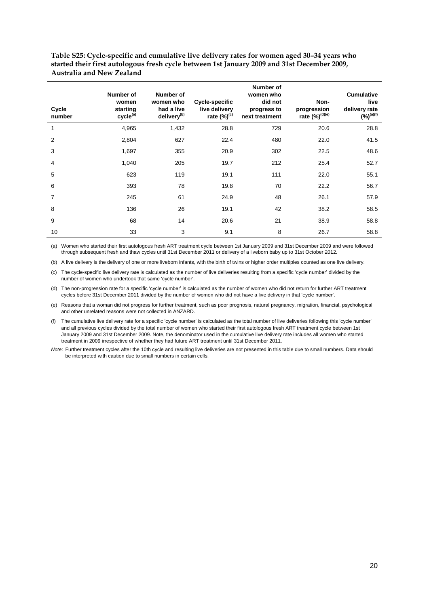<span id="page-22-0"></span>**Table S25: Cycle-specific and cumulative live delivery rates for women aged 30–34 years who started their first autologous fresh cycle between 1st January 2009 and 31st December 2009, Australia and New Zealand**

| Cycle<br>number | Number of<br>women<br>starting<br>cycle <sup>(a)</sup> | Number of<br>women who<br>had a live<br>delivery <sup>(b)</sup> | Cycle-specific<br>live delivery<br>rate $(\%)^{(c)}$ | Number of<br>women who<br>did not<br>progress to<br>next treatment | Non-<br>progression<br>rate (%) <sup>(d)(e)</sup> | <b>Cumulative</b><br>live<br>delivery rate<br>$(%)^{(a)(f)}$ |
|-----------------|--------------------------------------------------------|-----------------------------------------------------------------|------------------------------------------------------|--------------------------------------------------------------------|---------------------------------------------------|--------------------------------------------------------------|
| $\mathbf{1}$    | 4,965                                                  | 1,432                                                           | 28.8                                                 | 729                                                                | 20.6                                              | 28.8                                                         |
| 2               | 2,804                                                  | 627                                                             | 22.4                                                 | 480                                                                | 22.0                                              | 41.5                                                         |
| 3               | 1,697                                                  | 355                                                             | 20.9                                                 | 302                                                                | 22.5                                              | 48.6                                                         |
| $\overline{4}$  | 1,040                                                  | 205                                                             | 19.7                                                 | 212                                                                | 25.4                                              | 52.7                                                         |
| 5               | 623                                                    | 119                                                             | 19.1                                                 | 111                                                                | 22.0                                              | 55.1                                                         |
| 6               | 393                                                    | 78                                                              | 19.8                                                 | 70                                                                 | 22.2                                              | 56.7                                                         |
| $\overline{7}$  | 245                                                    | 61                                                              | 24.9                                                 | 48                                                                 | 26.1                                              | 57.9                                                         |
| 8               | 136                                                    | 26                                                              | 19.1                                                 | 42                                                                 | 38.2                                              | 58.5                                                         |
| 9               | 68                                                     | 14                                                              | 20.6                                                 | 21                                                                 | 38.9                                              | 58.8                                                         |
| 10              | 33                                                     | 3                                                               | 9.1                                                  | 8                                                                  | 26.7                                              | 58.8                                                         |

(a) Women who started their first autologous fresh ART treatment cycle between 1st January 2009 and 31st December 2009 and were followed through subsequent fresh and thaw cycles until 31st December 2011 or delivery of a liveborn baby up to 31st October 2012.

(b) A live delivery is the delivery of one or more liveborn infants, with the birth of twins or higher order multiples counted as one live delivery.

(c) The cycle-specific live delivery rate is calculated as the number of live deliveries resulting from a specific 'cycle number' divided by the number of women who undertook that same 'cycle number'.

(d) The non-progression rate for a specific 'cycle number' is calculated as the number of women who did not return for further ART treatment cycles before 31st December 2011 divided by the number of women who did not have a live delivery in that 'cycle number'.

(e) Reasons that a woman did not progress for further treatment, such as poor prognosis, natural pregnancy, migration, financial, psychological and other unrelated reasons were not collected in ANZARD.

(f) The cumulative live delivery rate for a specific 'cycle number' is calculated as the total number of live deliveries following this 'cycle number' and all previous cycles divided by the total number of women who started their first autologous fresh ART treatment cycle between 1st January 2009 and 31st December 2009. Note, the denominator used in the cumulative live delivery rate includes all women who started treatment in 2009 irrespective of whether they had future ART treatment until 31st December 2011.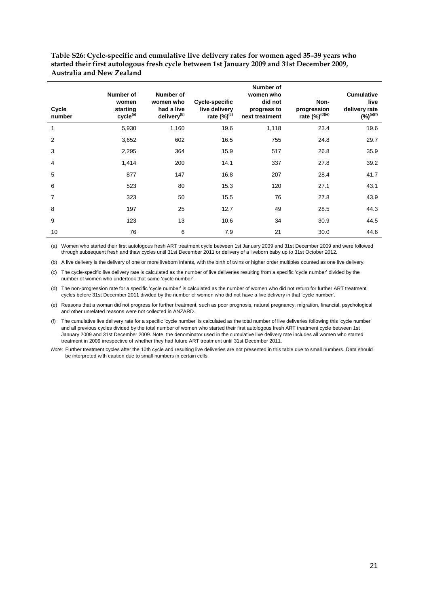<span id="page-23-0"></span>**Table S26: Cycle-specific and cumulative live delivery rates for women aged 35–39 years who started their first autologous fresh cycle between 1st January 2009 and 31st December 2009, Australia and New Zealand**

| Cycle<br>number | Number of<br>women<br>starting<br>cycle <sup>(a)</sup> | Number of<br>women who<br>had a live<br>delivery <sup>(b)</sup> | Cycle-specific<br>live delivery<br>rate $(\%)^{(c)}$ | <b>Number of</b><br>women who<br>did not<br>progress to<br>next treatment | Non-<br>progression<br>rate (%) <sup>(d)(e)</sup> | <b>Cumulative</b><br>live<br>delivery rate<br>$(y_0)^{(a)(f)}$ |
|-----------------|--------------------------------------------------------|-----------------------------------------------------------------|------------------------------------------------------|---------------------------------------------------------------------------|---------------------------------------------------|----------------------------------------------------------------|
| $\mathbf{1}$    | 5,930                                                  | 1,160                                                           | 19.6                                                 | 1,118                                                                     | 23.4                                              | 19.6                                                           |
| 2               | 3,652                                                  | 602                                                             | 16.5                                                 | 755                                                                       | 24.8                                              | 29.7                                                           |
| 3               | 2,295                                                  | 364                                                             | 15.9                                                 | 517                                                                       | 26.8                                              | 35.9                                                           |
| $\overline{4}$  | 1,414                                                  | 200                                                             | 14.1                                                 | 337                                                                       | 27.8                                              | 39.2                                                           |
| 5               | 877                                                    | 147                                                             | 16.8                                                 | 207                                                                       | 28.4                                              | 41.7                                                           |
| 6               | 523                                                    | 80                                                              | 15.3                                                 | 120                                                                       | 27.1                                              | 43.1                                                           |
| $\overline{7}$  | 323                                                    | 50                                                              | 15.5                                                 | 76                                                                        | 27.8                                              | 43.9                                                           |
| 8               | 197                                                    | 25                                                              | 12.7                                                 | 49                                                                        | 28.5                                              | 44.3                                                           |
| 9               | 123                                                    | 13                                                              | 10.6                                                 | 34                                                                        | 30.9                                              | 44.5                                                           |
| 10              | 76                                                     | 6                                                               | 7.9                                                  | 21                                                                        | 30.0                                              | 44.6                                                           |

(a) Women who started their first autologous fresh ART treatment cycle between 1st January 2009 and 31st December 2009 and were followed through subsequent fresh and thaw cycles until 31st December 2011 or delivery of a liveborn baby up to 31st October 2012.

(b) A live delivery is the delivery of one or more liveborn infants, with the birth of twins or higher order multiples counted as one live delivery.

(c) The cycle-specific live delivery rate is calculated as the number of live deliveries resulting from a specific 'cycle number' divided by the number of women who undertook that same 'cycle number'.

(d) The non-progression rate for a specific 'cycle number' is calculated as the number of women who did not return for further ART treatment cycles before 31st December 2011 divided by the number of women who did not have a live delivery in that 'cycle number'.

(e) Reasons that a woman did not progress for further treatment, such as poor prognosis, natural pregnancy, migration, financial, psychological and other unrelated reasons were not collected in ANZARD.

(f) The cumulative live delivery rate for a specific 'cycle number' is calculated as the total number of live deliveries following this 'cycle number' and all previous cycles divided by the total number of women who started their first autologous fresh ART treatment cycle between 1st January 2009 and 31st December 2009. Note, the denominator used in the cumulative live delivery rate includes all women who started treatment in 2009 irrespective of whether they had future ART treatment until 31st December 2011.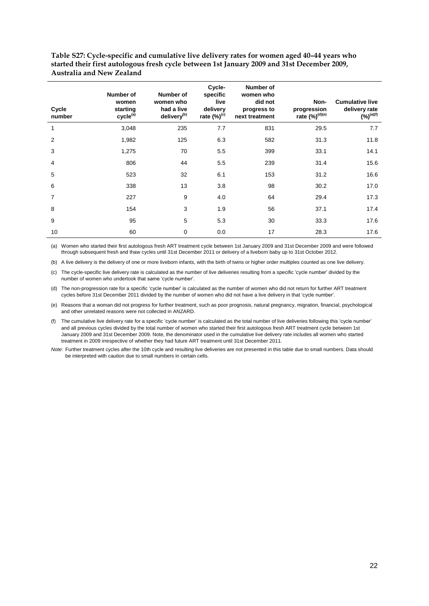<span id="page-24-1"></span>**Table S27: Cycle-specific and cumulative live delivery rates for women aged 40–44 years who started their first autologous fresh cycle between 1st January 2009 and 31st December 2009, Australia and New Zealand**

| Cycle<br>number | Number of<br>women<br>starting<br>cycle <sup>(a)</sup> | Number of<br>women who<br>had a live<br>delivery <sup>(b)</sup> | Cycle-<br>specific<br>live<br>delivery<br>rate $(\%)^{(c)}$ | <b>Number of</b><br>women who<br>did not<br>progress to<br>next treatment | Non-<br>progression<br>rate (%) <sup>(d)(e)</sup> | <b>Cumulative live</b><br>delivery rate<br>$(%)^{(a)(f)}$ |
|-----------------|--------------------------------------------------------|-----------------------------------------------------------------|-------------------------------------------------------------|---------------------------------------------------------------------------|---------------------------------------------------|-----------------------------------------------------------|
| 1               | 3,048                                                  | 235                                                             | 7.7                                                         | 831                                                                       | 29.5                                              | 7.7                                                       |
| 2               | 1,982                                                  | 125                                                             | 6.3                                                         | 582                                                                       | 31.3                                              | 11.8                                                      |
| 3               | 1,275                                                  | 70                                                              | 5.5                                                         | 399                                                                       | 33.1                                              | 14.1                                                      |
| $\overline{4}$  | 806                                                    | 44                                                              | 5.5                                                         | 239                                                                       | 31.4                                              | 15.6                                                      |
| 5               | 523                                                    | 32                                                              | 6.1                                                         | 153                                                                       | 31.2                                              | 16.6                                                      |
| 6               | 338                                                    | 13                                                              | 3.8                                                         | 98                                                                        | 30.2                                              | 17.0                                                      |
| $\overline{7}$  | 227                                                    | 9                                                               | 4.0                                                         | 64                                                                        | 29.4                                              | 17.3                                                      |
| 8               | 154                                                    | 3                                                               | 1.9                                                         | 56                                                                        | 37.1                                              | 17.4                                                      |
| 9               | 95                                                     | 5                                                               | 5.3                                                         | 30                                                                        | 33.3                                              | 17.6                                                      |
| 10              | 60                                                     | 0                                                               | 0.0                                                         | 17                                                                        | 28.3                                              | 17.6                                                      |

<span id="page-24-0"></span>(a) Women who started their first autologous fresh ART treatment cycle between 1st January 2009 and 31st December 2009 and were followed through subsequent fresh and thaw cycles until 31st December 2011 or delivery of a liveborn baby up to 31st October 2012.

(b) A live delivery is the delivery of one or more liveborn infants, with the birth of twins or higher order multiples counted as one live delivery.

(c) The cycle-specific live delivery rate is calculated as the number of live deliveries resulting from a specific 'cycle number' divided by the number of women who undertook that same 'cycle number'.

(d) The non-progression rate for a specific 'cycle number' is calculated as the number of women who did not return for further ART treatment cycles before 31st December 2011 divided by the number of women who did not have a live delivery in that 'cycle number'.

(e) Reasons that a woman did not progress for further treatment, such as poor prognosis, natural pregnancy, migration, financial, psychological and other unrelated reasons were not collected in ANZARD.

(f) The cumulative live delivery rate for a specific 'cycle number' is calculated as the total number of live deliveries following this 'cycle number' and all previous cycles divided by the total number of women who started their first autologous fresh ART treatment cycle between 1st January 2009 and 31st December 2009. Note, the denominator used in the cumulative live delivery rate includes all women who started treatment in 2009 irrespective of whether they had future ART treatment until 31st December 2011.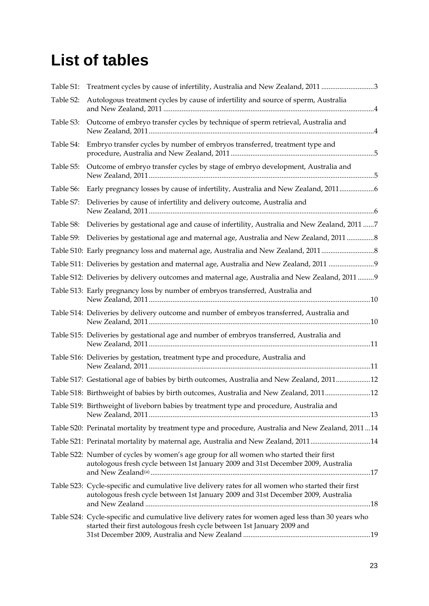## **List of tables**

| Table S1: | Treatment cycles by cause of infertility, Australia and New Zealand, 2011 3                                                                                                             |
|-----------|-----------------------------------------------------------------------------------------------------------------------------------------------------------------------------------------|
| Table S2: | Autologous treatment cycles by cause of infertility and source of sperm, Australia                                                                                                      |
| Table S3: | Outcome of embryo transfer cycles by technique of sperm retrieval, Australia and                                                                                                        |
| Table S4: | Embryo transfer cycles by number of embryos transferred, treatment type and                                                                                                             |
| Table S5: | Outcome of embryo transfer cycles by stage of embryo development, Australia and                                                                                                         |
| Table S6: | Early pregnancy losses by cause of infertility, Australia and New Zealand, 2011                                                                                                         |
| Table S7: | Deliveries by cause of infertility and delivery outcome, Australia and                                                                                                                  |
| Table S8: | Deliveries by gestational age and cause of infertility, Australia and New Zealand, 2011 7                                                                                               |
| Table S9: | Deliveries by gestational age and maternal age, Australia and New Zealand, 2011 8                                                                                                       |
|           | Table S10: Early pregnancy loss and maternal age, Australia and New Zealand, 2011                                                                                                       |
|           | Table S11: Deliveries by gestation and maternal age, Australia and New Zealand, 2011 9                                                                                                  |
|           | Table S12: Deliveries by delivery outcomes and maternal age, Australia and New Zealand, 2011  9                                                                                         |
|           | Table S13: Early pregnancy loss by number of embryos transferred, Australia and                                                                                                         |
|           | Table S14: Deliveries by delivery outcome and number of embryos transferred, Australia and                                                                                              |
|           | Table S15: Deliveries by gestational age and number of embryos transferred, Australia and                                                                                               |
|           | Table S16: Deliveries by gestation, treatment type and procedure, Australia and                                                                                                         |
|           | Table S17: Gestational age of babies by birth outcomes, Australia and New Zealand, 201112                                                                                               |
|           | Table S18: Birthweight of babies by birth outcomes, Australia and New Zealand, 201112                                                                                                   |
|           | Table S19: Birthweight of liveborn babies by treatment type and procedure, Australia and                                                                                                |
|           | Table S20: Perinatal mortality by treatment type and procedure, Australia and New Zealand, 201114                                                                                       |
|           | Table S21: Perinatal mortality by maternal age, Australia and New Zealand, 201114                                                                                                       |
|           | Table S22: Number of cycles by women's age group for all women who started their first<br>autologous fresh cycle between 1st January 2009 and 31st December 2009, Australia             |
|           | Table S23: Cycle-specific and cumulative live delivery rates for all women who started their first<br>autologous fresh cycle between 1st January 2009 and 31st December 2009, Australia |
|           | Table S24: Cycle-specific and cumulative live delivery rates for women aged less than 30 years who<br>started their first autologous fresh cycle between 1st January 2009 and           |